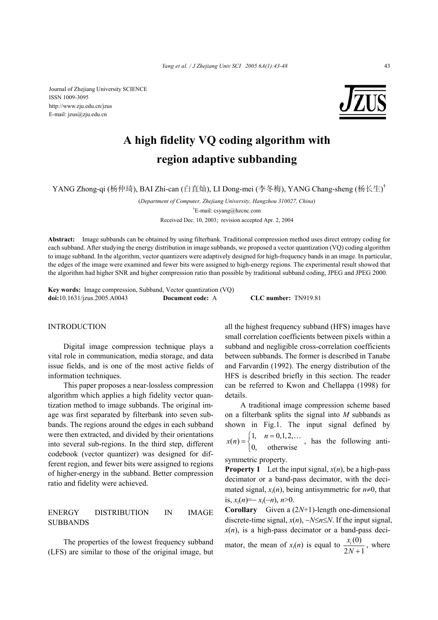Journal of Zhejiang University SCIENCE ISSN 1009-3095 http://www.zju.edu.cn/jzus E-mail: jzus@zju.edu.cn



# **A high fidelity VQ coding algorithm with region adaptive subbanding**

YANG Zhong-qi (杨仲琦), BAI Zhi-can (白直灿), LI Dong-mei (李冬梅), YANG Chang-sheng (杨长生) †

(*Department of Computer, Zhejiang University, Hangzhou 310027, China*) † E-mail: csyang@hzcnc.com

Received Dec. 10, 2003; revision accepted Apr. 2, 2004

**Abstract:** Image subbands can be obtained by using filterbank. Traditional compression method uses direct entropy coding for each subband. After studying the energy distribution in image subbands, we proposed a vector quantization (VQ) coding algorithm to image subband. In the algorithm, vector quantizers were adaptively designed for high-frequency bands in an image. In particular, the edges of the image were examined and fewer bits were assigned to high-energy regions. The experimental result showed that the algorithm had higher SNR and higher compression ratio than possible by traditional subband coding, JPEG and JPEG 2000.

**Key words:** Image compression, Subband, Vector quantization (VQ) **doi:**10.1631/jzus.2005.A0043 **Document code:** A **CLC number:** TN919.81

## **INTRODUCTION**

Digital image compression technique plays a vital role in communication, media storage, and data issue fields, and is one of the most active fields of information techniques.

This paper proposes a near-lossless compression algorithm which applies a high fidelity vector quantization method to image subbands. The original image was first separated by filterbank into seven subbands. The regions around the edges in each subband were then extracted, and divided by their orientations into several sub-regions. In the third step, different codebook (vector quantizer) was designed for different region, and fewer bits were assigned to regions of higher-energy in the subband. Better compression ratio and fidelity were achieved.

## ENERGY DISTRIBUTION IN IMAGE SUBBANDS

The properties of the lowest frequency subband (LFS) are similar to those of the original image, but all the highest frequency subband (HFS) images have small correlation coefficients between pixels within a subband and negligible cross-correlation coefficients between subbands. The former is described in Tanabe and Farvardin (1992). The energy distribution of the HFS is described briefly in this section. The reader can be referred to Kwon and Chellappa (1998) for details.

A traditional image compression scheme based on a filterbank splits the signal into *M* subbands as shown in Fig.1. The input signal defined by  $x(n) = \begin{cases} 1, & n = 0,1,2,.. \\ 0, & \text{otherwise} \end{cases}$  $\overline{\mathfrak{l}}$ … , has the following antisymmetric property.

**Property 1** Let the input signal,  $x(n)$ , be a high-pass decimator or a band-pass decimator, with the decimated signal,  $x_i(n)$ , being antisymmetric for  $n\neq 0$ , that is, *xi*(*n*)=− *xi*(−*n*), *n*>0.

**Corollary** Given a (2*N*+1)-length one-dimensional discrete-time signal, *x*(*n*), −*N*≤*n*≤*N*. If the input signal,  $x(n)$ , is a high-pass decimator or a band-pass deci-

mator, the mean of  $x_i(n)$  is equal to  $\frac{x_i(0)}{2N+1}$ *i x N* + , where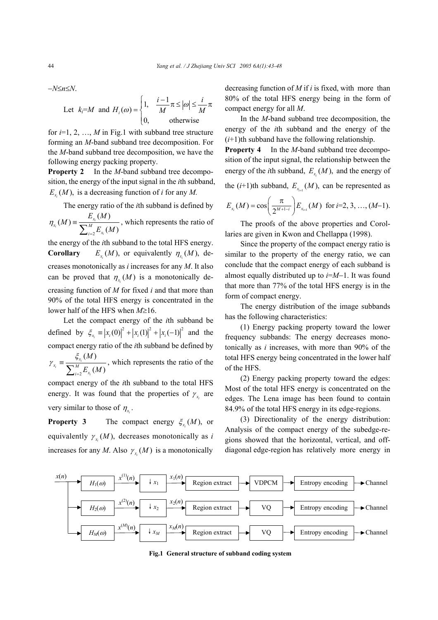−*N*≤*n*≤*N*.

Let 
$$
k_i = M
$$
 and  $H_i(\omega) = \begin{cases} 1, & \frac{i-1}{M} \pi \le |\omega| \le \frac{i}{M} \pi \\ 0, & \text{otherwise} \end{cases}$ 

for  $i=1, 2, ..., M$  in Fig.1 with subband tree structure forming an *M*-band subband tree decomposition. For the *M*-band subband tree decomposition, we have the following energy packing property.

**Property 2** In the *M*-band subband tree decomposition, the energy of the input signal in the *i*th subband,  $E_{x_i}(M)$ , is a decreasing function of *i* for any *M*.

The energy ratio of the *i*th subband is defined by 2  $(M) \equiv \frac{E_{x_i}(M)}{M}$  $(M)$ *i i i x*  $x_i$ <sup>(M</sup>)<sup> $=$ </sup> $M$  $i=2$   $\frac{L}{x}$  $E_x(M)$ *M*  $\eta_{x_i}(M) \equiv \frac{1}{\sum_{k=1}^{M} E_{x_i}(M)}$ =  $\equiv \frac{Z_{x_i}^{M} (M)}{\sum_{i=2}^{M} E_{x_i} (M)}$ , which represents the ratio of

the energy of the *i*th subband to the total HFS energy. **Corollary**  $E_x(M)$ , or equivalently  $\eta_x(M)$ , decreases monotonically as *i* increases for any *M*. It also can be proved that  $\eta_x(M)$  is a monotonically decreasing function of *M* for fixed *i* and that more than 90% of the total HFS energy is concentrated in the lower half of the HFS when *M*≥16.

Let the compact energy of the *i*th subband be defined by  $\zeta_{x_i} = |x_i(0)|^2 + |x_i(1)|^2 + |x_i(-1)|^2$  and the compact energy ratio of the *i*th subband be defined by 2  $(M)$  $(M)$ *i i i x*  $\mathbf{x}_i$  –  $\mathbf{y}$  $i=2$   $\mu x$ *M E M* ξ γ =  $\equiv \frac{\sum_{i=2}^{M} E_{x_i}(M)}{\sum_{i=2}^{M} E_{x_i}(M)}$ , which represents the ratio of the

compact energy of the *i*th subband to the total HFS energy. It was found that the properties of  $\gamma_{x_i}$  are very similar to those of  $\eta_x$ .

**Property 3** The compact energy  $\xi_x(M)$ , or equivalently  $\gamma_{x}$  (*M*), decreases monotonically as *i* increases for any *M*. Also  $\gamma_x(M)$  is a monotonically

decreasing function of *M* if *i* is fixed, with more than 80% of the total HFS energy being in the form of compact energy for all *M*.

In the *M*-band subband tree decomposition, the energy of the *i*th subband and the energy of the  $(i+1)$ th subband have the following relationship.

**Property 4** In the *M*-band subband tree decomposition of the input signal, the relationship between the energy of the *i*th subband,  $E_x(M)$ , and the energy of

the  $(i+1)$ th subband,  $E_{x_{i+1}}(M)$ , can be represented as

$$
E_{x_i}(M) = \cos\left(\frac{\pi}{2^{M+1-i}}\right) E_{x_{i+1}}(M) \text{ for } i=2, 3, ..., (M-1).
$$

The proofs of the above properties and Corollaries are given in Kwon and Chellappa (1998).

Since the property of the compact energy ratio is similar to the property of the energy ratio, we can conclude that the compact energy of each subband is almost equally distributed up to *i*=*M*−1. It was found that more than 77% of the total HFS energy is in the form of compact energy.

The energy distribution of the image subbands has the following characteristics:

(1) Energy packing property toward the lower frequency subbands: The energy decreases monotonically as *i* increases, with more than 90% of the total HFS energy being concentrated in the lower half of the HFS.

(2) Energy packing property toward the edges: Most of the total HFS energy is concentrated on the edges. The Lena image has been found to contain 84.9% of the total HFS energy in its edge-regions.

(3) Directionality of the energy distribution: Analysis of the compact energy of the subedge-regions showed that the horizontal, vertical, and offdiagonal edge-region has relatively more energy in



**Fig.1 General structure of subband coding system**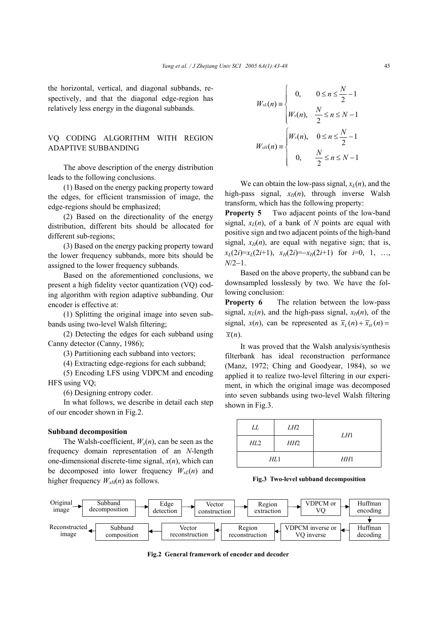the horizontal, vertical, and diagonal subbands, respectively, and that the diagonal edge-region has relatively less energy in the diagonal subbands.

## VQ CODING ALGORITHM WITH REGION ADAPTIVE SUBBANDING

The above description of the energy distribution leads to the following conclusions.

(1) Based on the energy packing property toward the edges, for efficient transmission of image, the edge-regions should be emphasized;

(2) Based on the directionality of the energy distribution, different bits should be allocated for different sub-regions;

(3) Based on the energy packing property toward the lower frequency subbands, more bits should be assigned to the lower frequency subbands.

Based on the aforementioned conclusions, we present a high fidelity vector quantization (VQ) coding algorithm with region adaptive subbanding. Our encoder is effective at:

(1) Splitting the original image into seven subbands using two-level Walsh filtering;

(2) Detecting the edges for each subband using Canny detector (Canny, 1986);

(3) Partitioning each subband into vectors;

(4) Extracting edge-regions for each subband;

(5) Encoding LFS using VDPCM and encoding HFS using VQ;

(6) Designing entropy coder.

In what follows, we describe in detail each step of our encoder shown in Fig.2.

#### **Subband decomposition**

The Walsh-coefficient,  $W_x(n)$ , can be seen as the frequency domain representation of an *N*-length one-dimensional discrete-time signal, *x*(*n*), which can be decomposed into lower frequency  $W_{xL}(n)$  and higher frequency  $W_{xH}(n)$  as follows.

$$
W_{xL}(n) = \begin{cases} 0, & 0 \le n \le \frac{N}{2} - 1 \\ W_{x}(n), & \frac{N}{2} \le n \le N - 1 \end{cases}
$$

$$
W_{xH}(n) = \begin{cases} W_{x}(n), & 0 \le n \le \frac{N}{2} - 1 \\ 0, & \frac{N}{2} \le n \le N - 1 \end{cases}
$$

We can obtain the low-pass signal,  $x_l(n)$ , and the high-pass signal,  $x_H(n)$ , through inverse Walsh transform, which has the following property:

**Property 5** Two adjacent points of the low-band signal,  $x_l(n)$ , of a bank of N points are equal with positive sign and two adjacent points of the high-band signal,  $x_H(n)$ , are equal with negative sign; that is,  $x_L(2i)=x_L(2i+1), x_H(2i)=-x_H(2i+1)$  for  $i=0, 1, ...,$ *N*/2−1.

Based on the above property, the subband can be downsampled losslessly by two. We have the following conclusion:

**Property 6** The relation between the low-pass signal,  $x_L(n)$ , and the high-pass signal,  $x_H(n)$ , of the signal,  $x(n)$ , can be represented as  $\overline{x}_i(n) + \overline{x}_i(n) =$  $\overline{x}(n)$ .

It was proved that the Walsh analysis/synthesis filterbank has ideal reconstruction performance (Manz, 1972; Ching and Goodyear, 1984), so we applied it to realize two-level filtering in our experiment, in which the original image was decomposed into seven subbands using two-level Walsh filtering shown in Fig.3.

| LL  | LH2 | LH1 |
|-----|-----|-----|
| HL2 | HH2 |     |
| HL1 |     | HH1 |

**Fig.3 Two-level subband decomposition** 



**Fig.2 General framework of encoder and decoder**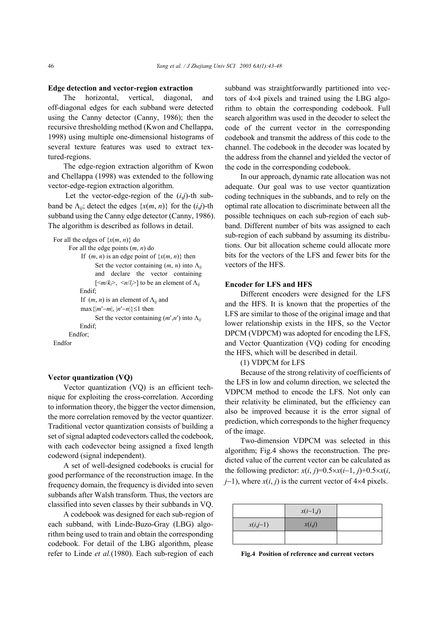#### **Edge detection and vector-region extraction**

The horizontal, vertical, diagonal, and off-diagonal edges for each subband were detected using the Canny detector (Canny, 1986); then the recursive thresholding method (Kwon and Chellappa, 1998) using multiple one-dimensional histograms of several texture features was used to extract textured-regions.

The edge-region extraction algorithm of Kwon and Chellappa (1998) was extended to the following vector-edge-region extraction algorithm.

Let the vector-edge-region of the  $(i,j)$ -th subband be  $\Lambda_{ii}$ ; detect the edges  $\{x(m, n)\}\$  for the  $(i,j)$ -th subband using the Canny edge detector (Canny, 1986). The algorithm is described as follows in detail.

```
For all the edges of \{x(m, n)\}\) do
       For all the edge points (m, n) do 
            If (m, n) is an edge point of \{x(m, n)\}\) then
                   Set the vector containing (m, n) into \Lambda_{ii}and declare the vector containing
                   \lceil \langle m/k \rangle, \langle n/l \rangle to be an element of \Lambda_{ii} Endif; 
            If (m, n) is an element of \Lambda_{ii} and
            max{ |m'−m|, |n'−n| } ≤1 then
                   Set the vector containing (m', n') into \Lambda_{ii} Endif; 
       Endfor; 
Endfor
```
#### **Vector quantization (VQ)**

Vector quantization (VQ) is an efficient technique for exploiting the cross-correlation. According to information theory, the bigger the vector dimension, the more correlation removed by the vector quantizer. Traditional vector quantization consists of building a set of signal adapted codevectors called the codebook, with each codevector being assigned a fixed length codeword (signal independent).

A set of well-designed codebooks is crucial for good performance of the reconstruction image. In the frequency domain, the frequency is divided into seven subbands after Walsh transform. Thus, the vectors are classified into seven classes by their subbands in VQ.

A codebook was designed for each sub-region of each subband, with Linde-Buzo-Gray (LBG) algorithm being used to train and obtain the corresponding codebook. For detail of the LBG algorithm, please refer to Linde *et al.*(1980). Each sub-region of each subband was straightforwardly partitioned into vectors of 4×4 pixels and trained using the LBG algorithm to obtain the corresponding codebook. Full search algorithm was used in the decoder to select the code of the current vector in the corresponding codebook and transmit the address of this code to the channel. The codebook in the decoder was located by the address from the channel and yielded the vector of the code in the corresponding codebook.

In our approach, dynamic rate allocation was not adequate. Our goal was to use vector quantization coding techniques in the subbands, and to rely on the optimal rate allocation to discriminate between all the possible techniques on each sub-region of each subband. Different number of bits was assigned to each sub-region of each subband by assuming its distributions. Our bit allocation scheme could allocate more bits for the vectors of the LFS and fewer bits for the vectors of the HFS.

#### **Encoder for LFS and HFS**

Different encoders were designed for the LFS and the HFS. It is known that the properties of the LFS are similar to those of the original image and that lower relationship exists in the HFS, so the Vector DPCM (VDPCM) was adopted for encoding the LFS, and Vector Quantization (VQ) coding for encoding the HFS, which will be described in detail.

(1) VDPCM for LFS

Because of the strong relativity of coefficients of the LFS in low and column direction, we selected the VDPCM method to encode the LFS. Not only can their relativity be eliminated, but the efficiency can also be improved because it is the error signal of prediction, which corresponds to the higher frequency of the image.

Two-dimension VDPCM was selected in this algorithm; Fig.4 shows the reconstruction. The predicted value of the current vector can be calculated as the following predictor:  $x(i, j)=0.5 \times x(i-1, j)+0.5 \times x(i, j)$ *j*−1), where  $x(i, j)$  is the current vector of  $4 \times 4$  pixels.

|            | $x(i-1,j)$ |  |
|------------|------------|--|
| $x(i,j-1)$ | x(i,j)     |  |
|            |            |  |

**Fig.4 Position of reference and current vectors**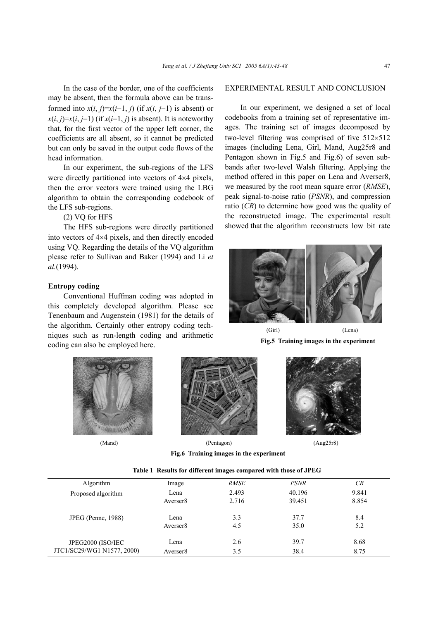In the case of the border, one of the coefficients may be absent, then the formula above can be transformed into  $x(i, j)=x(i-1, j)$  (if  $x(i, j-1)$ ) is absent) or  $x(i, j)=x(i, j-1)$  (if  $x(i-1, j)$  is absent). It is noteworthy that, for the first vector of the upper left corner, the coefficients are all absent, so it cannot be predicted but can only be saved in the output code flows of the head information.

In our experiment, the sub-regions of the LFS were directly partitioned into vectors of  $4\times4$  pixels, then the error vectors were trained using the LBG algorithm to obtain the corresponding codebook of the LFS sub-regions.

(2) VQ for HFS

The HFS sub-regions were directly partitioned into vectors of 4×4 pixels, and then directly encoded using VQ. Regarding the details of the VQ algorithm please refer to Sullivan and Baker (1994) and Li *et al.*(1994).

### **Entropy coding**

Conventional Huffman coding was adopted in this completely developed algorithm. Please see Tenenbaum and Augenstein (1981) for the details of the algorithm. Certainly other entropy coding techniques such as run-length coding and arithmetic coding can also be employed here.





(Mand) (Pentagon) (Aug25r8)



**Fig.6 Training images in the experiment**

|  | Table 1 Results for different images compared with those of JPEG |  |  |  |  |  |  |
|--|------------------------------------------------------------------|--|--|--|--|--|--|
|--|------------------------------------------------------------------|--|--|--|--|--|--|

| Algorithm                                       | Image                | RMSE  | <i>PSNR</i> | CR    |
|-------------------------------------------------|----------------------|-------|-------------|-------|
| Proposed algorithm                              | Lena                 | 2.493 | 40.196      | 9.841 |
|                                                 | Averser <sub>8</sub> | 2.716 | 39.451      | 8.854 |
| JPEG (Penne, 1988)                              | Lena                 | 3.3   | 37.7        | 8.4   |
|                                                 | Averser <sub>8</sub> | 4.5   | 35.0        | 5.2   |
| JPEG2000 (ISO/IEC<br>JTC1/SC29/WG1 N1577, 2000) | Lena                 | 2.6   | 39.7        | 8.68  |
|                                                 | Averser <sub>8</sub> | 3.5   | 38.4        | 8.75  |

#### EXPERIMENTAL RESULT AND CONCLUSION

In our experiment, we designed a set of local codebooks from a training set of representative images. The training set of images decomposed by two-level filtering was comprised of five 512×512 images (including Lena, Girl, Mand, Aug25r8 and Pentagon shown in Fig.5 and Fig.6) of seven subbands after two-level Walsh filtering. Applying the method offered in this paper on Lena and Averser8, we measured by the root mean square error (*RMSE*), peak signal-to-noise ratio (*PSNR*), and compression ratio (*CR*) to determine how good was the quality of the reconstructed image. The experimental result showed that the algorithm reconstructs low bit rate



**Fig.5 Training images in the experiment**